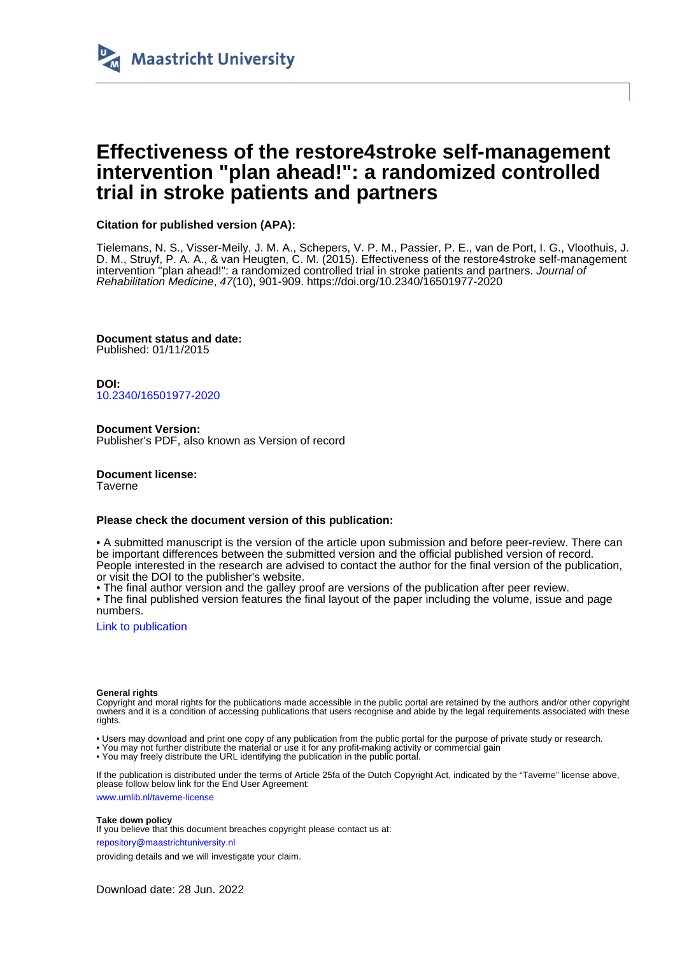

# **Effectiveness of the restore4stroke self-management intervention "plan ahead!": a randomized controlled trial in stroke patients and partners**

## **Citation for published version (APA):**

Tielemans, N. S., Visser-Meily, J. M. A., Schepers, V. P. M., Passier, P. E., van de Port, I. G., Vloothuis, J. D. M., Struyf, P. A. A., & van Heugten, C. M. (2015). Effectiveness of the restore4stroke self-management intervention "plan ahead!": a randomized controlled trial in stroke patients and partners. Journal of Rehabilitation Medicine, 47(10), 901-909. <https://doi.org/10.2340/16501977-2020>

**Document status and date:** Published: 01/11/2015

**DOI:** [10.2340/16501977-2020](https://doi.org/10.2340/16501977-2020)

**Document Version:** Publisher's PDF, also known as Version of record

**Document license:** Taverne

## **Please check the document version of this publication:**

• A submitted manuscript is the version of the article upon submission and before peer-review. There can be important differences between the submitted version and the official published version of record. People interested in the research are advised to contact the author for the final version of the publication, or visit the DOI to the publisher's website.

• The final author version and the galley proof are versions of the publication after peer review.

• The final published version features the final layout of the paper including the volume, issue and page numbers.

[Link to publication](https://cris.maastrichtuniversity.nl/en/publications/02920405-fd9f-4ae2-b782-6545b47e1a33)

## **General rights**

Copyright and moral rights for the publications made accessible in the public portal are retained by the authors and/or other copyright owners and it is a condition of accessing publications that users recognise and abide by the legal requirements associated with these rights.

• Users may download and print one copy of any publication from the public portal for the purpose of private study or research.

• You may not further distribute the material or use it for any profit-making activity or commercial gain

• You may freely distribute the URL identifying the publication in the public portal

If the publication is distributed under the terms of Article 25fa of the Dutch Copyright Act, indicated by the "Taverne" license above, please follow below link for the End User Agreement:

www.umlib.nl/taverne-license

## **Take down policy**

If you believe that this document breaches copyright please contact us at:

repository@maastrichtuniversity.nl

providing details and we will investigate your claim.

Download date: 28 Jun. 2022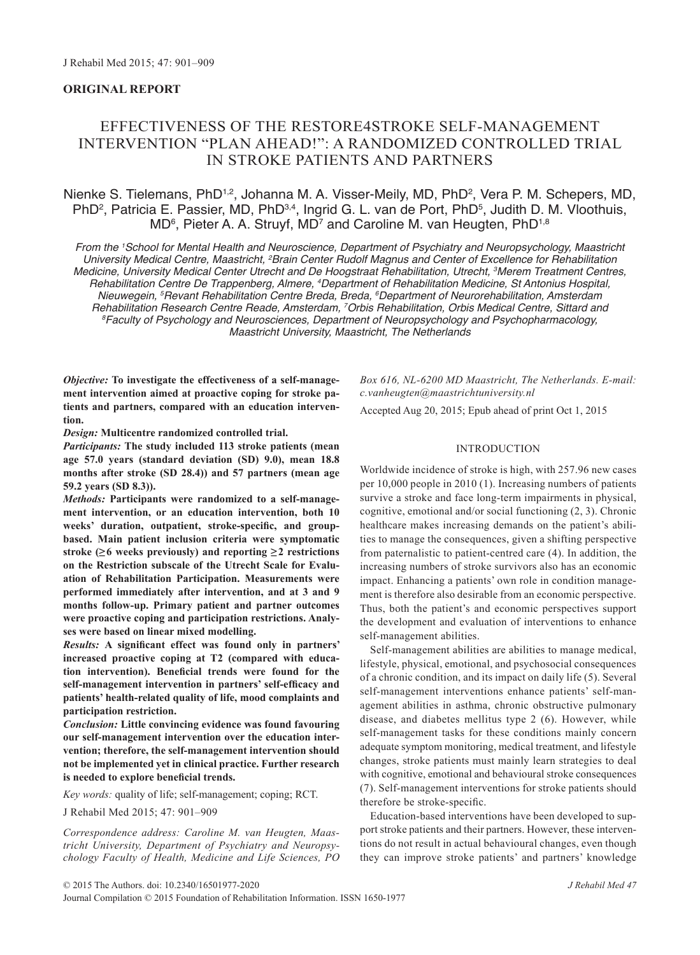## **ORIGINAL REPORT**

## EFFECTIVENESS OF THE RESTORE4STROKE SELF-MANAGEMENT INTERVENTION "PLAN AHEAD!": A RANDOMIZED CONTROLLED TRIAL IN STROKE PATIENTS AND PARTNERS

## Nienke S. Tielemans, PhD<sup>1,2</sup>, Johanna M. A. Visser-Meily, MD, PhD<sup>2</sup>, Vera P. M. Schepers, MD, PhD<sup>2</sup>, Patricia E. Passier, MD, PhD<sup>3,4</sup>, Ingrid G. L. van de Port, PhD<sup>5</sup>, Judith D. M. Vloothuis,  $MD<sup>6</sup>$ , Pieter A. A. Struyf, MD<sup>7</sup> and Caroline M. van Heugten, PhD<sup>1,8</sup>

*From the 1 School for Mental Health and Neuroscience, Department of Psychiatry and Neuropsychology, Maastricht*  University Medical Centre, Maastricht, <sup>2</sup>Brain Center Rudolf Magnus and Center of Excellence for Rehabilitation *Medicine, University Medical Center Utrecht and De Hoogstraat Rehabilitation, Utrecht, 3 Merem Treatment Centres, Rehabilitation Centre De Trappenberg, Almere, 4 Department of Rehabilitation Medicine, St Antonius Hospital, Nieuwegein, 5 Revant Rehabilitation Centre Breda, Breda, 6 Department of Neurorehabilitation, Amsterdam Rehabilitation Research Centre Reade, Amsterdam, 7* ehabilitation Research Centre Reade, Amsterdam, <sup>z</sup>Orbis Rehabilitation, Orbis Medical Centre, Sittard and<br><sup>8</sup>Faculty of Psychology and Neurosciences, Department of Neuropsychology and Psychopharmacology, *Maastricht University, Maastricht, The Netherlands*

*Objective:* **To investigate the effectiveness of a self-management intervention aimed at proactive coping for stroke patients and partners, compared with an education intervention.**

*Design:* **Multicentre randomized controlled trial.**

*Participants:* **The study included 113 stroke patients (mean age 57.0 years (standard deviation (SD) 9.0), mean 18.8 months after stroke (SD 28.4)) and 57 partners (mean age 59.2 years (SD 8.3)).**

*Methods:* **Participants were randomized to a self-management intervention, or an education intervention, both 10 weeks' duration, outpatient, stroke-specific, and groupbased. Main patient inclusion criteria were symptomatic stroke (≥6 weeks previously) and reporting ≥2 restrictions on the Restriction subscale of the Utrecht Scale for Evaluation of Rehabilitation Participation. Measurements were performed immediately after intervention, and at 3 and 9 months follow-up. Primary patient and partner outcomes were proactive coping and participation restrictions. Analyses were based on linear mixed modelling.**

*Results:* **A significant effect was found only in partners' increased proactive coping at T2 (compared with education intervention). Beneficial trends were found for the self-management intervention in partners' self-efficacy and patients' health-related quality of life, mood complaints and participation restriction.** 

*Conclusion:* **Little convincing evidence was found favouring our self-management intervention over the education intervention; therefore, the self-management intervention should not be implemented yet in clinical practice. Further research is needed to explore beneficial trends.**

*Key words:* quality of life; self-management; coping; RCT.

J Rehabil Med 2015; 47: 901–909

*Correspondence address: Caroline M. van Heugten, Maastricht University, Department of Psychiatry and Neuropsychology Faculty of Health, Medicine and Life Sciences, PO*  *Box 616, NL-6200 MD Maastricht, The Netherlands. E-mail: c.vanheugten@maastrichtuniversity.nl*

Accepted Aug 20, 2015; Epub ahead of print Oct 1, 2015

## INTRODUCTION

Worldwide incidence of stroke is high, with 257.96 new cases per 10,000 people in 2010 (1). Increasing numbers of patients survive a stroke and face long-term impairments in physical, cognitive, emotional and/or social functioning (2, 3). Chronic healthcare makes increasing demands on the patient's abilities to manage the consequences, given a shifting perspective from paternalistic to patient-centred care (4). In addition, the increasing numbers of stroke survivors also has an economic impact. Enhancing a patients' own role in condition management is therefore also desirable from an economic perspective. Thus, both the patient's and economic perspectives support the development and evaluation of interventions to enhance self-management abilities.

Self-management abilities are abilities to manage medical, lifestyle, physical, emotional, and psychosocial consequences of a chronic condition, and its impact on daily life (5). Several self-management interventions enhance patients' self-management abilities in asthma, chronic obstructive pulmonary disease, and diabetes mellitus type 2 (6). However, while self-management tasks for these conditions mainly concern adequate symptom monitoring, medical treatment, and lifestyle changes, stroke patients must mainly learn strategies to deal with cognitive, emotional and behavioural stroke consequences (7). Self-management interventions for stroke patients should therefore be stroke-specific.

Education-based interventions have been developed to support stroke patients and their partners. However, these interventions do not result in actual behavioural changes, even though they can improve stroke patients' and partners' knowledge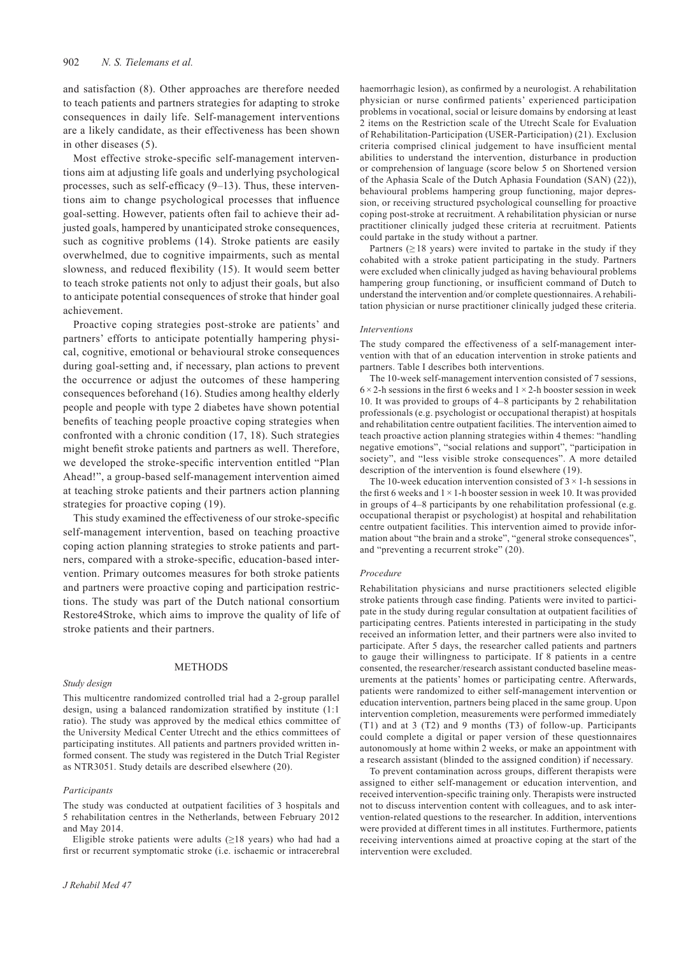and satisfaction (8). Other approaches are therefore needed to teach patients and partners strategies for adapting to stroke consequences in daily life. Self-management interventions are a likely candidate, as their effectiveness has been shown in other diseases (5).

Most effective stroke-specific self-management interventions aim at adjusting life goals and underlying psychological processes, such as self-efficacy (9–13). Thus, these interventions aim to change psychological processes that influence goal-setting. However, patients often fail to achieve their adjusted goals, hampered by unanticipated stroke consequences, such as cognitive problems (14). Stroke patients are easily overwhelmed, due to cognitive impairments, such as mental slowness, and reduced flexibility (15). It would seem better to teach stroke patients not only to adjust their goals, but also to anticipate potential consequences of stroke that hinder goal achievement.

Proactive coping strategies post-stroke are patients' and partners' efforts to anticipate potentially hampering physical, cognitive, emotional or behavioural stroke consequences during goal-setting and, if necessary, plan actions to prevent the occurrence or adjust the outcomes of these hampering consequences beforehand (16). Studies among healthy elderly people and people with type 2 diabetes have shown potential benefits of teaching people proactive coping strategies when confronted with a chronic condition (17, 18). Such strategies might benefit stroke patients and partners as well. Therefore, we developed the stroke-specific intervention entitled "Plan Ahead!", a group-based self-management intervention aimed at teaching stroke patients and their partners action planning strategies for proactive coping (19).

This study examined the effectiveness of our stroke-specific self-management intervention, based on teaching proactive coping action planning strategies to stroke patients and partners, compared with a stroke-specific, education-based intervention. Primary outcomes measures for both stroke patients and partners were proactive coping and participation restrictions. The study was part of the Dutch national consortium Restore4Stroke, which aims to improve the quality of life of stroke patients and their partners.

## **METHODS**

#### *Study design*

This multicentre randomized controlled trial had a 2-group parallel design, using a balanced randomization stratified by institute (1:1 ratio). The study was approved by the medical ethics committee of the University Medical Center Utrecht and the ethics committees of participating institutes. All patients and partners provided written informed consent. The study was registered in the Dutch Trial Register as NTR3051. Study details are described elsewhere (20).

#### *Participants*

The study was conducted at outpatient facilities of 3 hospitals and 5 rehabilitation centres in the Netherlands, between February 2012 and May 2014.

Eligible stroke patients were adults  $(\geq 18$  years) who had had a first or recurrent symptomatic stroke (i.e. ischaemic or intracerebral haemorrhagic lesion), as confirmed by a neurologist. A rehabilitation physician or nurse confirmed patients' experienced participation problems in vocational, social or leisure domains by endorsing at least 2 items on the Restriction scale of the Utrecht Scale for Evaluation of Rehabilitation-Participation (USER-Participation) (21). Exclusion criteria comprised clinical judgement to have insufficient mental abilities to understand the intervention, disturbance in production or comprehension of language (score below 5 on Shortened version of the Aphasia Scale of the Dutch Aphasia Foundation (SAN) (22)), behavioural problems hampering group functioning, major depression, or receiving structured psychological counselling for proactive coping post-stroke at recruitment. A rehabilitation physician or nurse practitioner clinically judged these criteria at recruitment. Patients could partake in the study without a partner.

Partners ( $\geq$  18 years) were invited to partake in the study if they cohabited with a stroke patient participating in the study. Partners were excluded when clinically judged as having behavioural problems hampering group functioning, or insufficient command of Dutch to understand the intervention and/or complete questionnaires. A rehabilitation physician or nurse practitioner clinically judged these criteria.

#### *Interventions*

The study compared the effectiveness of a self-management intervention with that of an education intervention in stroke patients and partners. Table I describes both interventions.

The 10-week self-management intervention consisted of 7 sessions,  $6 \times 2$ -h sessions in the first 6 weeks and  $1 \times 2$ -h booster session in week 10. It was provided to groups of 4–8 participants by 2 rehabilitation professionals (e.g. psychologist or occupational therapist) at hospitals and rehabilitation centre outpatient facilities. The intervention aimed to teach proactive action planning strategies within 4 themes: "handling negative emotions", "social relations and support", "participation in society", and "less visible stroke consequences". A more detailed description of the intervention is found elsewhere (19).

The 10-week education intervention consisted of  $3 \times 1$ -h sessions in the first 6 weeks and  $1 \times 1$ -h booster session in week 10. It was provided in groups of 4–8 participants by one rehabilitation professional (e.g. occupational therapist or psychologist) at hospital and rehabilitation centre outpatient facilities. This intervention aimed to provide information about "the brain and a stroke", "general stroke consequences", and "preventing a recurrent stroke" (20).

#### *Procedure*

Rehabilitation physicians and nurse practitioners selected eligible stroke patients through case finding. Patients were invited to participate in the study during regular consultation at outpatient facilities of participating centres. Patients interested in participating in the study received an information letter, and their partners were also invited to participate. After 5 days, the researcher called patients and partners to gauge their willingness to participate. If 8 patients in a centre consented, the researcher/research assistant conducted baseline measurements at the patients' homes or participating centre. Afterwards, patients were randomized to either self-management intervention or education intervention, partners being placed in the same group. Upon intervention completion, measurements were performed immediately (T1) and at 3 (T2) and 9 months (T3) of follow-up. Participants could complete a digital or paper version of these questionnaires autonomously at home within 2 weeks, or make an appointment with a research assistant (blinded to the assigned condition) if necessary.

To prevent contamination across groups, different therapists were assigned to either self-management or education intervention, and received intervention-specific training only. Therapists were instructed not to discuss intervention content with colleagues, and to ask intervention-related questions to the researcher. In addition, interventions were provided at different times in all institutes. Furthermore, patients receiving interventions aimed at proactive coping at the start of the intervention were excluded.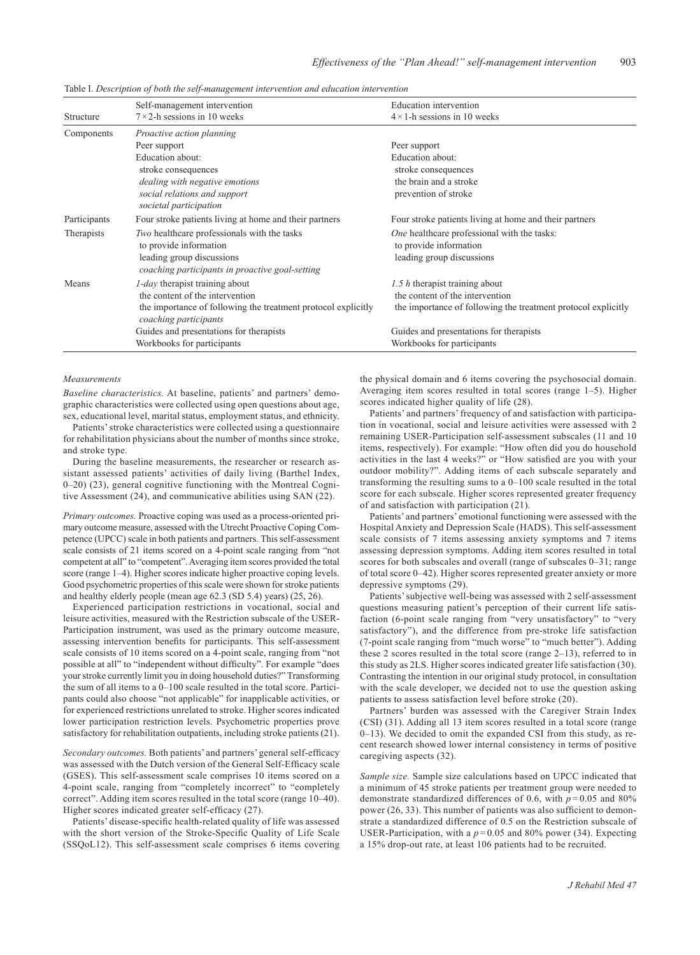|  |  |  | Table I. Description of both the self-management intervention and education intervention |  |  |  |  |
|--|--|--|------------------------------------------------------------------------------------------|--|--|--|--|
|--|--|--|------------------------------------------------------------------------------------------|--|--|--|--|

|              | Self-management intervention                                                           | <b>Education</b> intervention                                         |  |  |
|--------------|----------------------------------------------------------------------------------------|-----------------------------------------------------------------------|--|--|
| Structure    | $7 \times 2$ -h sessions in 10 weeks                                                   | $4 \times 1$ -h sessions in 10 weeks                                  |  |  |
| Components   | Proactive action planning                                                              |                                                                       |  |  |
|              | Peer support                                                                           | Peer support                                                          |  |  |
|              | Education about:                                                                       | Education about:                                                      |  |  |
|              | stroke consequences                                                                    | stroke consequences                                                   |  |  |
|              | dealing with negative emotions                                                         | the brain and a stroke                                                |  |  |
|              | social relations and support<br>societal participation                                 | prevention of stroke                                                  |  |  |
| Participants | Four stroke patients living at home and their partners                                 | Four stroke patients living at home and their partners                |  |  |
| Therapists   | Two healthcare professionals with the tasks<br>to provide information                  | One healthcare professional with the tasks:<br>to provide information |  |  |
|              | leading group discussions<br>coaching participants in proactive goal-setting           | leading group discussions                                             |  |  |
| Means        | <i>l</i> -day therapist training about                                                 | $1.5 h$ therapist training about                                      |  |  |
|              | the content of the intervention                                                        | the content of the intervention                                       |  |  |
|              | the importance of following the treatment protocol explicitly<br>coaching participants | the importance of following the treatment protocol explicitly         |  |  |
|              | Guides and presentations for therapists                                                | Guides and presentations for therapists                               |  |  |
|              | Workbooks for participants                                                             | Workbooks for participants                                            |  |  |

*Measurements*

*Baseline characteristics.* At baseline, patients' and partners' demographic characteristics were collected using open questions about age, sex, educational level, marital status, employment status, and ethnicity.

Patients' stroke characteristics were collected using a questionnaire for rehabilitation physicians about the number of months since stroke, and stroke type.

During the baseline measurements, the researcher or research assistant assessed patients' activities of daily living (Barthel Index, 0–20) (23), general cognitive functioning with the Montreal Cognitive Assessment (24), and communicative abilities using SAN (22).

*Primary outcomes.* Proactive coping was used as a process-oriented primary outcome measure, assessed with the Utrecht Proactive Coping Competence (UPCC) scale in both patients and partners. This self-assessment scale consists of 21 items scored on a 4-point scale ranging from "not competent at all" to "competent". Averaging item scores provided the total score (range 1–4). Higher scores indicate higher proactive coping levels. Good psychometric properties of this scale were shown for stroke patients and healthy elderly people (mean age 62.3 (SD 5.4) years) (25, 26).

Experienced participation restrictions in vocational, social and leisure activities, measured with the Restriction subscale of the USER-Participation instrument, was used as the primary outcome measure, assessing intervention benefits for participants. This self-assessment scale consists of 10 items scored on a 4-point scale, ranging from "not possible at all" to "independent without difficulty". For example "does your stroke currently limit you in doing household duties?" Transforming the sum of all items to a 0–100 scale resulted in the total score. Participants could also choose "not applicable" for inapplicable activities, or for experienced restrictions unrelated to stroke. Higher scores indicated lower participation restriction levels. Psychometric properties prove satisfactory for rehabilitation outpatients, including stroke patients (21).

*Secondary outcomes.* Both patients' and partners' general self-efficacy was assessed with the Dutch version of the General Self-Efficacy scale (GSES). This self-assessment scale comprises 10 items scored on a 4-point scale, ranging from "completely incorrect" to "completely correct". Adding item scores resulted in the total score (range 10–40). Higher scores indicated greater self-efficacy (27).

Patients' disease-specific health-related quality of life was assessed with the short version of the Stroke-Specific Quality of Life Scale (SSQoL12). This self-assessment scale comprises 6 items covering the physical domain and 6 items covering the psychosocial domain. Averaging item scores resulted in total scores (range 1–5). Higher scores indicated higher quality of life (28).

Patients' and partners' frequency of and satisfaction with participation in vocational, social and leisure activities were assessed with 2 remaining USER-Participation self-assessment subscales (11 and 10 items, respectively). For example: "How often did you do household activities in the last 4 weeks?" or "How satisfied are you with your outdoor mobility?". Adding items of each subscale separately and transforming the resulting sums to a 0–100 scale resulted in the total score for each subscale. Higher scores represented greater frequency of and satisfaction with participation (21).

Patients' and partners' emotional functioning were assessed with the Hospital Anxiety and Depression Scale (HADS). This self-assessment scale consists of 7 items assessing anxiety symptoms and 7 items assessing depression symptoms. Adding item scores resulted in total scores for both subscales and overall (range of subscales 0–31; range of total score 0–42). Higher scores represented greater anxiety or more depressive symptoms (29).

Patients' subjective well-being was assessed with 2 self-assessment questions measuring patient's perception of their current life satisfaction (6-point scale ranging from "very unsatisfactory" to "very satisfactory"), and the difference from pre-stroke life satisfaction (7-point scale ranging from "much worse" to "much better"). Adding these 2 scores resulted in the total score (range 2–13), referred to in this study as 2LS. Higher scores indicated greater life satisfaction (30). Contrasting the intention in our original study protocol, in consultation with the scale developer, we decided not to use the question asking patients to assess satisfaction level before stroke (20).

Partners' burden was assessed with the Caregiver Strain Index (CSI) (31). Adding all 13 item scores resulted in a total score (range 0–13). We decided to omit the expanded CSI from this study, as recent research showed lower internal consistency in terms of positive caregiving aspects (32).

*Sample size.* Sample size calculations based on UPCC indicated that a minimum of 45 stroke patients per treatment group were needed to demonstrate standardized differences of 0.6, with  $p = 0.05$  and 80% power (26, 33). This number of patients was also sufficient to demonstrate a standardized difference of 0.5 on the Restriction subscale of USER-Participation, with a  $p = 0.05$  and 80% power (34). Expecting a 15% drop-out rate, at least 106 patients had to be recruited.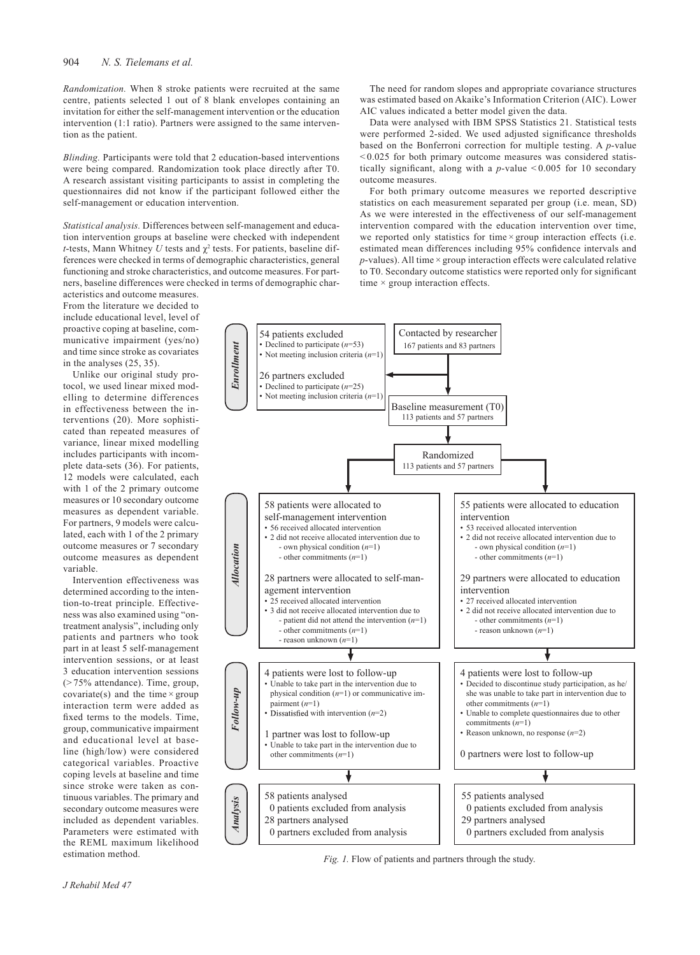## 904 *N. S. Tielemans et al.*

*Randomization.* When 8 stroke patients were recruited at the same centre, patients selected 1 out of 8 blank envelopes containing an invitation for either the self-management intervention or the education intervention (1:1 ratio). Partners were assigned to the same intervention as the patient.

*Blinding.* Participants were told that 2 education-based interventions were being compared. Randomization took place directly after T0. A research assistant visiting participants to assist in completing the questionnaires did not know if the participant followed either the self-management or education intervention.

*Statistical analysis.* Differences between self-management and education intervention groups at baseline were checked with independent *t*-tests, Mann Whitney U tests and  $\chi^2$  tests. For patients, baseline differences were checked in terms of demographic characteristics, general functioning and stroke characteristics, and outcome measures. For partners, baseline differences were checked in terms of demographic char-

acteristics and outcome measures. From the literature we decided to include educational level, level of proactive coping at baseline, communicative impairment (yes/no) and time since stroke as covariates in the analyses (25, 35).

Unlike our original study protocol, we used linear mixed modelling to determine differences in effectiveness between the interventions (20). More sophisticated than repeated measures of variance, linear mixed modelling includes participants with incomplete data-sets (36). For patients, 12 models were calculated, each with 1 of the 2 primary outcome measures or 10 secondary outcome measures as dependent variable. For partners, 9 models were calculated, each with 1 of the 2 primary outcome measures or 7 secondary outcome measures as dependent variable.

Intervention effectiveness was determined according to the intention-to-treat principle. Effectiveness was also examined using "ontreatment analysis", including only patients and partners who took part in at least 5 self-management intervention sessions, or at least 3 education intervention sessions (> 75% attendance). Time, group, covariate(s) and the time  $\times$  group interaction term were added as fixed terms to the models. Time, group, communicative impairment and educational level at baseline (high/low) were considered categorical variables. Proactive coping levels at baseline and time since stroke were taken as continuous variables. The primary and secondary outcome measures were included as dependent variables. Parameters were estimated with the REML maximum likelihood estimation method.

The need for random slopes and appropriate covariance structures was estimated based on Akaike's Information Criterion (AIC). Lower AIC values indicated a better model given the data.

Data were analysed with IBM SPSS Statistics 21. Statistical tests were performed 2-sided. We used adjusted significance thresholds based on the Bonferroni correction for multiple testing. A *p*-value  $\leq 0.025$  for both primary outcome measures was considered statistically significant, along with a *p*-value < 0.005 for 10 secondary outcome measures.

For both primary outcome measures we reported descriptive statistics on each measurement separated per group (i.e. mean, SD) As we were interested in the effectiveness of our self-management intervention compared with the education intervention over time, we reported only statistics for time  $\times$  group interaction effects (i.e. estimated mean differences including 95% confidence intervals and  $p$ -values). All time  $\times$  group interaction effects were calculated relative to T0. Secondary outcome statistics were reported only for significant time × group interaction effects.



*Fig. 1.* Flow of patients and partners through the study.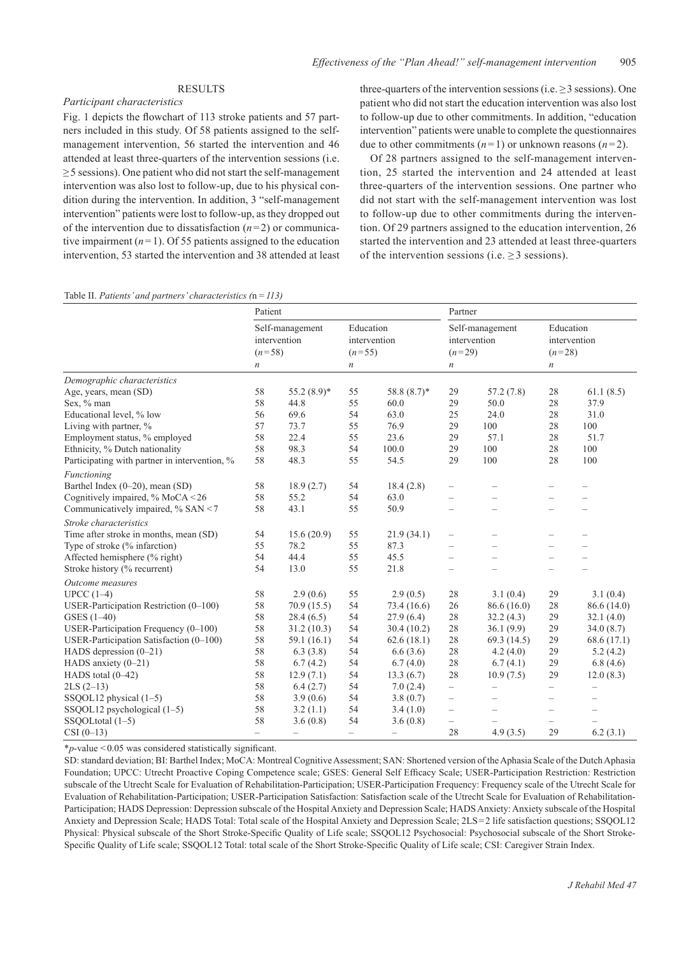## RESULTS

## *Participant characteristics*

Fig. 1 depicts the flowchart of 113 stroke patients and 57 partners included in this study. Of 58 patients assigned to the selfmanagement intervention, 56 started the intervention and 46 attended at least three-quarters of the intervention sessions (i.e. ≥5 sessions). One patient who did not start the self-management intervention was also lost to follow-up, due to his physical condition during the intervention. In addition, 3 "self-management intervention" patients were lost to follow-up, as they dropped out of the intervention due to dissatisfaction  $(n=2)$  or communicative impairment  $(n=1)$ . Of 55 patients assigned to the education intervention, 53 started the intervention and 38 attended at least three-quarters of the intervention sessions (i.e.  $\geq$  3 sessions). One patient who did not start the education intervention was also lost to follow-up due to other commitments. In addition, "education intervention" patients were unable to complete the questionnaires due to other commitments  $(n=1)$  or unknown reasons  $(n=2)$ .

Of 28 partners assigned to the self-management intervention, 25 started the intervention and 24 attended at least three-quarters of the intervention sessions. One partner who did not start with the self-management intervention was lost to follow-up due to other commitments during the intervention. Of 29 partners assigned to the education intervention, 26 started the intervention and 23 attended at least three-quarters of the intervention sessions (i.e.  $\geq$  3 sessions).

#### Table II. *Patients' and partners' characteristics (*n*=113)*

|                                               | Patient                                     |                   |                       |                          | Partner                  |                                 |                                       |                          |
|-----------------------------------------------|---------------------------------------------|-------------------|-----------------------|--------------------------|--------------------------|---------------------------------|---------------------------------------|--------------------------|
|                                               | Self-management<br>intervention<br>$(n=58)$ |                   | Education<br>$(n=55)$ | intervention             | $(n=29)$                 | Self-management<br>intervention | Education<br>intervention<br>$(n=28)$ |                          |
|                                               | $\,$                                        |                   | $\boldsymbol{n}$      |                          | $\boldsymbol{n}$         |                                 | $\boldsymbol{n}$                      |                          |
| Demographic characteristics                   |                                             |                   |                       |                          |                          |                                 |                                       |                          |
| Age, years, mean (SD)                         | 58                                          | 55.2 (8.9)*       | 55                    | $58.8(8.7)$ *            | 29                       | 57.2(7.8)                       | 28                                    | 61.1(8.5)                |
| Sex, % man                                    | 58                                          | 44.8              | 55                    | 60.0                     | 29                       | 50.0                            | 28                                    | 37.9                     |
| Educational level, % low                      | 56                                          | 69.6              | 54                    | 63.0                     | 25                       | 24.0                            | 28                                    | 31.0                     |
| Living with partner, %                        | 57                                          | 73.7              | 55                    | 76.9                     | 29                       | 100                             | 28                                    | 100                      |
| Employment status, % employed                 | 58                                          | 22.4              | 55                    | 23.6                     | 29                       | 57.1                            | 28                                    | 51.7                     |
| Ethnicity, % Dutch nationality                | 58                                          | 98.3              | 54                    | 100.0                    | 29                       | 100                             | 28                                    | 100                      |
| Participating with partner in intervention, % | 58                                          | 48.3              | 55                    | 54.5                     | 29                       | 100                             | 28                                    | 100                      |
| Functioning                                   |                                             |                   |                       |                          |                          |                                 |                                       |                          |
| Barthel Index (0-20), mean (SD)               | 58                                          | 18.9(2.7)         | 54                    | 18.4(2.8)                | $\overline{\phantom{0}}$ |                                 |                                       |                          |
| Cognitively impaired, $%$ MoCA < 26           | 58                                          | 55.2              | 54                    | 63.0                     |                          |                                 |                                       |                          |
| Communicatively impaired, % SAN <7            | 58                                          | 43.1              | 55                    | 50.9                     | $\overline{\phantom{0}}$ |                                 | $\overline{\phantom{0}}$              | $\overline{\phantom{0}}$ |
| Stroke characteristics                        |                                             |                   |                       |                          |                          |                                 |                                       |                          |
| Time after stroke in months, mean (SD)        | 54                                          | 15.6(20.9)        | 55                    | 21.9(34.1)               | $\overline{\phantom{0}}$ |                                 |                                       |                          |
| Type of stroke (% infarction)                 | 55                                          | 78.2              | 55                    | 87.3                     |                          |                                 |                                       |                          |
| Affected hemisphere (% right)                 | 54                                          | 44.4              | 55                    | 45.5                     | $\overline{\phantom{0}}$ |                                 | $\overline{\phantom{0}}$              |                          |
| Stroke history (% recurrent)                  | 54                                          | 13.0              | 55                    | 21.8                     | ÷                        |                                 | $\overline{\phantom{0}}$              |                          |
| Outcome measures                              |                                             |                   |                       |                          |                          |                                 |                                       |                          |
| $UPCC(1-4)$                                   | 58                                          | 2.9(0.6)          | 55                    | 2.9(0.5)                 | 28                       | 3.1(0.4)                        | 29                                    | 3.1(0.4)                 |
| USER-Participation Restriction (0-100)        | 58                                          | 70.9 (15.5)       | 54                    | 73.4 (16.6)              | 26                       | 86.6(16.0)                      | 28                                    | 86.6(14.0)               |
| GSES (1-40)                                   | 58                                          | 28.4(6.5)         | 54                    | 27.9(6.4)                | 28                       | 32.2(4.3)                       | 29                                    | 32.1(4.0)                |
| USER-Participation Frequency (0-100)          | 58                                          | 31.2(10.3)        | 54                    | 30.4(10.2)               | 28                       | 36.1(9.9)                       | 29                                    | 34.0(8.7)                |
| USER-Participation Satisfaction (0-100)       | 58                                          | 59.1(16.1)        | 54                    | 62.6(18.1)               | 28                       | 69.3 (14.5)                     | 29                                    | 68.6(17.1)               |
| HADS depression (0-21)                        | 58                                          | 6.3(3.8)          | 54                    | 6.6(3.6)                 | 28                       | 4.2(4.0)                        | 29                                    | 5.2(4.2)                 |
| HADS anxiety (0-21)                           | 58                                          | 6.7(4.2)          | 54                    | 6.7(4.0)                 | 28                       | 6.7(4.1)                        | 29                                    | 6.8(4.6)                 |
| HADS total $(0-42)$                           | 58                                          | 12.9(7.1)         | 54                    | 13.3(6.7)                | 28                       | 10.9(7.5)                       | 29                                    | 12.0(8.3)                |
| $2LS (2-13)$                                  | 58                                          | 6.4(2.7)          | 54                    | 7.0(2.4)                 | $\overline{\phantom{0}}$ | $\qquad \qquad -$               | $\qquad \qquad -$                     | $\overline{\phantom{m}}$ |
| SSQOL12 physical (1-5)                        | 58                                          | 3.9(0.6)          | 54                    | 3.8(0.7)                 | $\overline{\phantom{0}}$ |                                 | $\overline{\phantom{0}}$              | $\equiv$                 |
| SSQOL12 psychological $(1-5)$                 | 58                                          | 3.2(1.1)          | 54                    | 3.4(1.0)                 | $\overline{\phantom{0}}$ |                                 |                                       |                          |
| SSQOLtotal (1-5)                              | 58                                          | 3.6(0.8)          | 54                    | 3.6(0.8)                 | $\overline{\phantom{0}}$ |                                 |                                       |                          |
| $CSI (0-13)$                                  | $\overline{\phantom{m}}$                    | $\qquad \qquad -$ | $\equiv$              | $\overline{\phantom{0}}$ | 28                       | 4.9(3.5)                        | 29                                    | 6.2(3.1)                 |

\**p*-value <0.05 was considered statistically significant.

SD: standard deviation; BI: Barthel Index; MoCA: Montreal Cognitive Assessment; SAN: Shortened version of the Aphasia Scale of the Dutch Aphasia Foundation; UPCC: Utrecht Proactive Coping Competence scale; GSES: General Self Efficacy Scale; USER-Participation Restriction: Restriction subscale of the Utrecht Scale for Evaluation of Rehabilitation-Participation; USER-Participation Frequency: Frequency scale of the Utrecht Scale for Evaluation of Rehabilitation-Participation; USER-Participation Satisfaction: Satisfaction scale of the Utrecht Scale for Evaluation of Rehabilitation-Participation; HADS Depression: Depression subscale of the Hospital Anxiety and Depression Scale; HADS Anxiety: Anxiety subscale of the Hospital Anxiety and Depression Scale; HADS Total: Total scale of the Hospital Anxiety and Depression Scale; 2LS=2 life satisfaction questions; SSQOL12 Physical: Physical subscale of the Short Stroke-Specific Quality of Life scale; SSQOL12 Psychosocial: Psychosocial subscale of the Short Stroke-Specific Quality of Life scale; SSQOL12 Total: total scale of the Short Stroke-Specific Quality of Life scale; CSI: Caregiver Strain Index.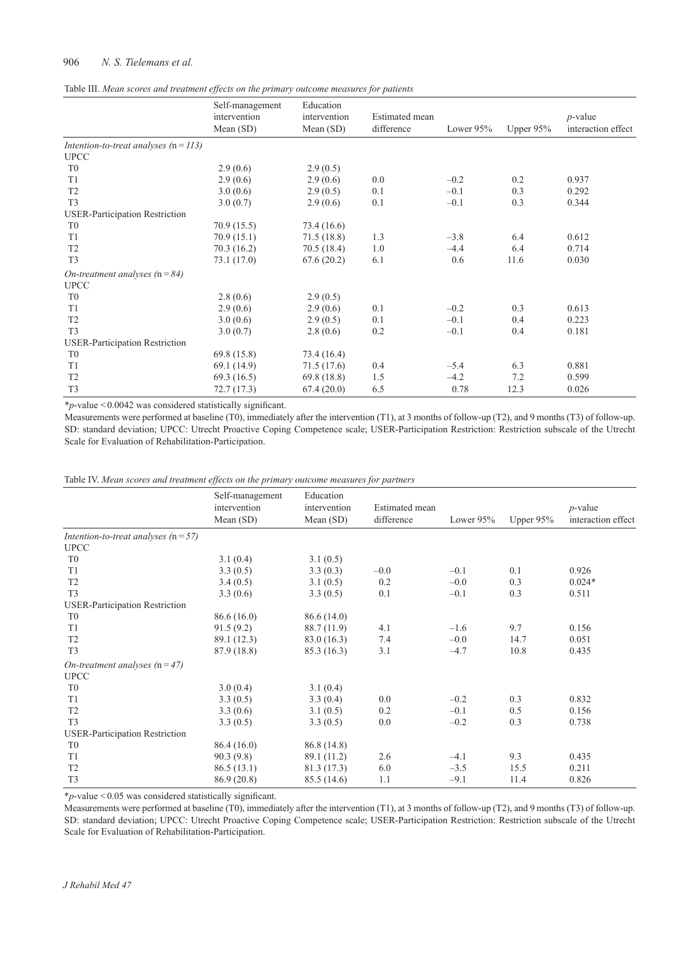## 906 *N. S. Tielemans et al.*

| Table III. Mean scores and treatment effects on the primary outcome measures for patients |  |  |  |
|-------------------------------------------------------------------------------------------|--|--|--|
|-------------------------------------------------------------------------------------------|--|--|--|

|                                         | Self-management             | Education                   |                              |             |             |                                  |
|-----------------------------------------|-----------------------------|-----------------------------|------------------------------|-------------|-------------|----------------------------------|
|                                         | intervention<br>Mean $(SD)$ | intervention<br>Mean $(SD)$ | Estimated mean<br>difference | Lower $95%$ | Upper $95%$ | $p$ -value<br>interaction effect |
| Intention-to-treat analyses $(n = 113)$ |                             |                             |                              |             |             |                                  |
| <b>UPCC</b>                             |                             |                             |                              |             |             |                                  |
| T <sub>0</sub>                          | 2.9(0.6)                    | 2.9(0.5)                    |                              |             |             |                                  |
| T <sub>1</sub>                          | 2.9(0.6)                    | 2.9(0.6)                    | 0.0                          | $-0.2$      | 0.2         | 0.937                            |
| T <sub>2</sub>                          | 3.0(0.6)                    | 2.9(0.5)                    | 0.1                          | $-0.1$      | 0.3         | 0.292                            |
| T <sub>3</sub>                          | 3.0(0.7)                    | 2.9(0.6)                    | 0.1                          | $-0.1$      | 0.3         | 0.344                            |
| <b>USER-Participation Restriction</b>   |                             |                             |                              |             |             |                                  |
| T <sub>0</sub>                          | 70.9(15.5)                  | 73.4 (16.6)                 |                              |             |             |                                  |
| T <sub>1</sub>                          | 70.9(15.1)                  | 71.5 (18.8)                 | 1.3                          | $-3.8$      | 6.4         | 0.612                            |
| T <sub>2</sub>                          | 70.3(16.2)                  | 70.5 (18.4)                 | 1.0                          | $-4.4$      | 6.4         | 0.714                            |
| T <sub>3</sub>                          | 73.1 (17.0)                 | 67.6(20.2)                  | 6.1                          | 0.6         | 11.6        | 0.030                            |
| On-treatment analyses $(n=84)$          |                             |                             |                              |             |             |                                  |
| <b>UPCC</b>                             |                             |                             |                              |             |             |                                  |
| T <sub>0</sub>                          | 2.8(0.6)                    | 2.9(0.5)                    |                              |             |             |                                  |
| T <sub>1</sub>                          | 2.9(0.6)                    | 2.9(0.6)                    | 0.1                          | $-0.2$      | 0.3         | 0.613                            |
| T <sub>2</sub>                          | 3.0(0.6)                    | 2.9(0.5)                    | 0.1                          | $-0.1$      | 0.4         | 0.223                            |
| T <sub>3</sub>                          | 3.0(0.7)                    | 2.8(0.6)                    | 0.2                          | $-0.1$      | 0.4         | 0.181                            |
| <b>USER-Participation Restriction</b>   |                             |                             |                              |             |             |                                  |
| T0                                      | 69.8(15.8)                  | 73.4 (16.4)                 |                              |             |             |                                  |
| T <sub>1</sub>                          | 69.1 (14.9)                 | 71.5 (17.6)                 | 0.4                          | $-5.4$      | 6.3         | 0.881                            |
| T <sub>2</sub>                          | 69.3(16.5)                  | 69.8(18.8)                  | 1.5                          | $-4.2$      | 7.2         | 0.599                            |
| T <sub>3</sub>                          | 72.7(17.3)                  | 67.4(20.0)                  | 6.5                          | 0.78        | 12.3        | 0.026                            |

\**p*-value <0.0042 was considered statistically significant.

Measurements were performed at baseline (T0), immediately after the intervention (T1), at 3 months of follow-up (T2), and 9 months (T3) of follow-up. SD: standard deviation; UPCC: Utrecht Proactive Coping Competence scale; USER-Participation Restriction: Restriction subscale of the Utrecht Scale for Evaluation of Rehabilitation-Participation.

|  |  |  | Table IV. Mean scores and treatment effects on the primary outcome measures for partners |  |
|--|--|--|------------------------------------------------------------------------------------------|--|
|--|--|--|------------------------------------------------------------------------------------------|--|

|                                        | Self-management | Education    |                |             |             |                    |
|----------------------------------------|-----------------|--------------|----------------|-------------|-------------|--------------------|
|                                        | intervention    | intervention | Estimated mean |             |             | $p$ -value         |
|                                        | Mean (SD)       | Mean $(SD)$  | difference     | Lower $95%$ | Upper $95%$ | interaction effect |
| Intention-to-treat analyses $(n = 57)$ |                 |              |                |             |             |                    |
| <b>UPCC</b>                            |                 |              |                |             |             |                    |
| T <sub>0</sub>                         | 3.1(0.4)        | 3.1(0.5)     |                |             |             |                    |
| T <sub>1</sub>                         | 3.3(0.5)        | 3.3(0.3)     | $-0.0$         | $-0.1$      | 0.1         | 0.926              |
| T <sub>2</sub>                         | 3.4(0.5)        | 3.1(0.5)     | 0.2            | $-0.0$      | 0.3         | $0.024*$           |
| T <sub>3</sub>                         | 3.3(0.6)        | 3.3(0.5)     | 0.1            | $-0.1$      | 0.3         | 0.511              |
| <b>USER-Participation Restriction</b>  |                 |              |                |             |             |                    |
| T <sub>0</sub>                         | 86.6(16.0)      | 86.6(14.0)   |                |             |             |                    |
| T <sub>1</sub>                         | 91.5(9.2)       | 88.7 (11.9)  | 4.1            | $-1.6$      | 9.7         | 0.156              |
| T <sub>2</sub>                         | 89.1 (12.3)     | 83.0 (16.3)  | 7.4            | $-0.0$      | 14.7        | 0.051              |
| T <sub>3</sub>                         | 87.9 (18.8)     | 85.3 (16.3)  | 3.1            | $-4.7$      | 10.8        | 0.435              |
| On-treatment analyses $(n = 47)$       |                 |              |                |             |             |                    |
| <b>UPCC</b>                            |                 |              |                |             |             |                    |
| T <sub>0</sub>                         | 3.0(0.4)        | 3.1(0.4)     |                |             |             |                    |
| T1                                     | 3.3(0.5)        | 3.3(0.4)     | 0.0            | $-0.2$      | 0.3         | 0.832              |
| T <sub>2</sub>                         | 3.3(0.6)        | 3.1(0.5)     | 0.2            | $-0.1$      | 0.5         | 0.156              |
| T <sub>3</sub>                         | 3.3(0.5)        | 3.3(0.5)     | 0.0            | $-0.2$      | 0.3         | 0.738              |
| <b>USER-Participation Restriction</b>  |                 |              |                |             |             |                    |
| T <sub>0</sub>                         | 86.4 (16.0)     | 86.8 (14.8)  |                |             |             |                    |
| T <sub>1</sub>                         | 90.3(9.8)       | 89.1 (11.2)  | 2.6            | $-4.1$      | 9.3         | 0.435              |
| T <sub>2</sub>                         | 86.5(13.1)      | 81.3 (17.3)  | 6.0            | $-3.5$      | 15.5        | 0.211              |
| T <sub>3</sub>                         | 86.9(20.8)      | 85.5 (14.6)  | 1.1            | $-9.1$      | 11.4        | 0.826              |

\**p*-value <0.05 was considered statistically significant.

Measurements were performed at baseline (T0), immediately after the intervention (T1), at 3 months of follow-up (T2), and 9 months (T3) of follow-up. SD: standard deviation; UPCC: Utrecht Proactive Coping Competence scale; USER-Participation Restriction: Restriction subscale of the Utrecht Scale for Evaluation of Rehabilitation-Participation.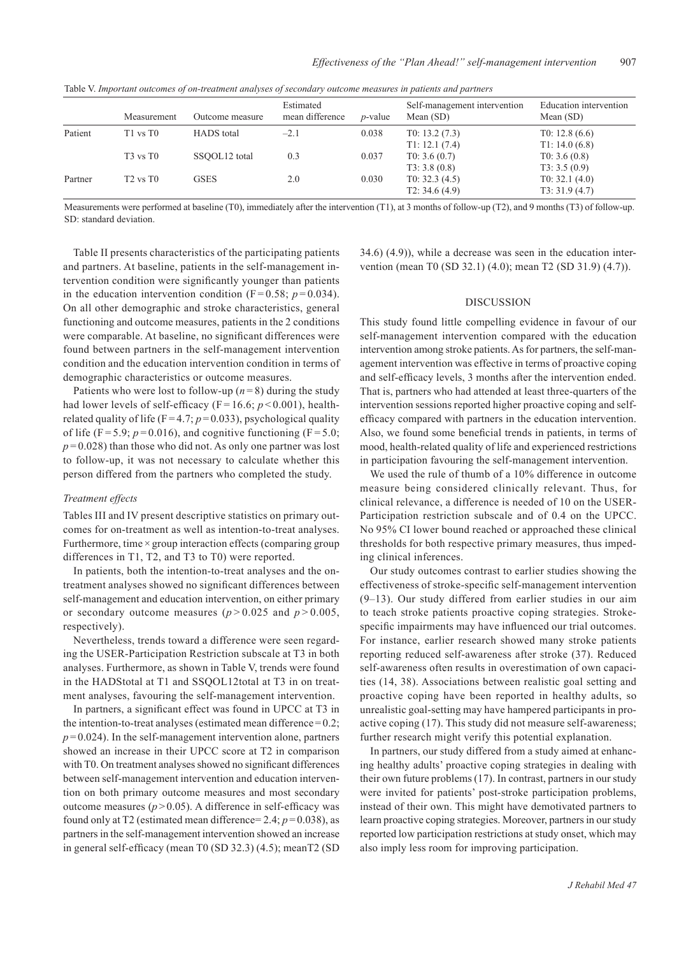|         | Measurement                      | Outcome measure   | Estimated<br>mean difference | $p$ -value | Self-management intervention<br>Mean $(SD)$ | Education intervention<br>Mean $(SD)$ |
|---------|----------------------------------|-------------------|------------------------------|------------|---------------------------------------------|---------------------------------------|
| Patient | T <sub>1</sub> vs T <sub>0</sub> | <b>HADS</b> total | $-2.1$                       | 0.038      | T0: 13.2(7.3)<br>T1: 12.1(7.4)              | T0: 12.8(6.6)<br>T1: 14.0(6.8)        |
|         | $T3$ vs $T0$                     | SSOOL12 total     | 0.3                          | 0.037      | T0: 3.6(0.7)<br>T3: 3.8(0.8)                | T0: 3.6(0.8)<br>T3: 3.5(0.9)          |
| Partner | $T2$ vs $T0$                     | <b>GSES</b>       | 2.0                          | 0.030      | T0: 32.3(4.5)<br>T2: 34.6(4.9)              | T0: 32.1(4.0)<br>T3: 31.9(4.7)        |

Table V. *Important outcomes of on-treatment analyses of secondary outcome measures in patients and partners*

Measurements were performed at baseline (T0), immediately after the intervention (T1), at 3 months of follow-up (T2), and 9 months (T3) of follow-up. SD: standard deviation.

Table II presents characteristics of the participating patients and partners. At baseline, patients in the self-management intervention condition were significantly younger than patients in the education intervention condition  $(F=0.58; p=0.034)$ . On all other demographic and stroke characteristics, general functioning and outcome measures, patients in the 2 conditions were comparable. At baseline, no significant differences were found between partners in the self-management intervention condition and the education intervention condition in terms of demographic characteristics or outcome measures.

Patients who were lost to follow-up  $(n=8)$  during the study had lower levels of self-efficacy ( $F = 16.6$ ;  $p < 0.001$ ), healthrelated quality of life ( $F = 4.7$ ;  $p = 0.033$ ), psychological quality of life (F = 5.9;  $p = 0.016$ ), and cognitive functioning (F = 5.0;  $p=0.028$ ) than those who did not. As only one partner was lost to follow-up, it was not necessary to calculate whether this person differed from the partners who completed the study.

## *Treatment effects*

Tables III and IV present descriptive statistics on primary outcomes for on-treatment as well as intention-to-treat analyses. Furthermore, time  $\times$  group interaction effects (comparing group differences in T1, T2, and T3 to T0) were reported.

In patients, both the intention-to-treat analyses and the ontreatment analyses showed no significant differences between self-management and education intervention, on either primary or secondary outcome measures  $(p > 0.025$  and  $p > 0.005$ , respectively).

Nevertheless, trends toward a difference were seen regarding the USER-Participation Restriction subscale at T3 in both analyses. Furthermore, as shown in Table V, trends were found in the HADStotal at T1 and SSQOL12total at T3 in on treatment analyses, favouring the self-management intervention.

In partners, a significant effect was found in UPCC at T3 in the intention-to-treat analyses (estimated mean difference=0.2;  $p=0.024$ ). In the self-management intervention alone, partners showed an increase in their UPCC score at T2 in comparison with T0. On treatment analyses showed no significant differences between self-management intervention and education intervention on both primary outcome measures and most secondary outcome measures  $(p > 0.05)$ . A difference in self-efficacy was found only at T2 (estimated mean difference=  $2.4$ ;  $p=0.038$ ), as partners in the self-management intervention showed an increase in general self-efficacy (mean T0 (SD 32.3) (4.5); meanT2 (SD 34.6) (4.9)), while a decrease was seen in the education intervention (mean T0 (SD 32.1) (4.0); mean T2 (SD 31.9) (4.7)).

## DISCUSSION

This study found little compelling evidence in favour of our self-management intervention compared with the education intervention among stroke patients. As for partners, the self-management intervention was effective in terms of proactive coping and self-efficacy levels, 3 months after the intervention ended. That is, partners who had attended at least three-quarters of the intervention sessions reported higher proactive coping and selfefficacy compared with partners in the education intervention. Also, we found some beneficial trends in patients, in terms of mood, health-related quality of life and experienced restrictions in participation favouring the self-management intervention.

We used the rule of thumb of a 10% difference in outcome measure being considered clinically relevant. Thus, for clinical relevance, a difference is needed of 10 on the USER-Participation restriction subscale and of 0.4 on the UPCC. No 95% CI lower bound reached or approached these clinical thresholds for both respective primary measures, thus impeding clinical inferences.

Our study outcomes contrast to earlier studies showing the effectiveness of stroke-specific self-management intervention (9–13). Our study differed from earlier studies in our aim to teach stroke patients proactive coping strategies. Strokespecific impairments may have influenced our trial outcomes. For instance, earlier research showed many stroke patients reporting reduced self-awareness after stroke (37). Reduced self-awareness often results in overestimation of own capacities (14, 38). Associations between realistic goal setting and proactive coping have been reported in healthy adults, so unrealistic goal-setting may have hampered participants in proactive coping (17). This study did not measure self-awareness; further research might verify this potential explanation.

In partners, our study differed from a study aimed at enhancing healthy adults' proactive coping strategies in dealing with their own future problems (17). In contrast, partners in our study were invited for patients' post-stroke participation problems, instead of their own. This might have demotivated partners to learn proactive coping strategies. Moreover, partners in our study reported low participation restrictions at study onset, which may also imply less room for improving participation.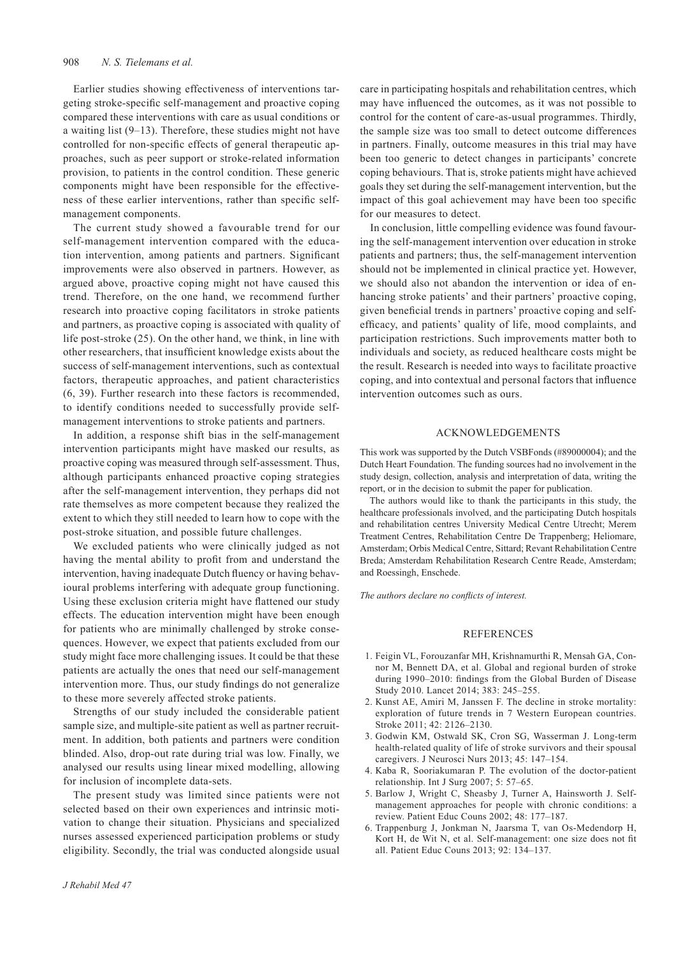Earlier studies showing effectiveness of interventions targeting stroke-specific self-management and proactive coping compared these interventions with care as usual conditions or a waiting list (9–13). Therefore, these studies might not have controlled for non-specific effects of general therapeutic approaches, such as peer support or stroke-related information provision, to patients in the control condition. These generic components might have been responsible for the effectiveness of these earlier interventions, rather than specific selfmanagement components.

The current study showed a favourable trend for our self-management intervention compared with the education intervention, among patients and partners. Significant improvements were also observed in partners. However, as argued above, proactive coping might not have caused this trend. Therefore, on the one hand, we recommend further research into proactive coping facilitators in stroke patients and partners, as proactive coping is associated with quality of life post-stroke (25). On the other hand, we think, in line with other researchers, that insufficient knowledge exists about the success of self-management interventions, such as contextual factors, therapeutic approaches, and patient characteristics (6, 39). Further research into these factors is recommended, to identify conditions needed to successfully provide selfmanagement interventions to stroke patients and partners.

In addition, a response shift bias in the self-management intervention participants might have masked our results, as proactive coping was measured through self-assessment. Thus, although participants enhanced proactive coping strategies after the self-management intervention, they perhaps did not rate themselves as more competent because they realized the extent to which they still needed to learn how to cope with the post-stroke situation, and possible future challenges.

We excluded patients who were clinically judged as not having the mental ability to profit from and understand the intervention, having inadequate Dutch fluency or having behavioural problems interfering with adequate group functioning. Using these exclusion criteria might have flattened our study effects. The education intervention might have been enough for patients who are minimally challenged by stroke consequences. However, we expect that patients excluded from our study might face more challenging issues. It could be that these patients are actually the ones that need our self-management intervention more. Thus, our study findings do not generalize to these more severely affected stroke patients.

Strengths of our study included the considerable patient sample size, and multiple-site patient as well as partner recruitment. In addition, both patients and partners were condition blinded. Also, drop-out rate during trial was low. Finally, we analysed our results using linear mixed modelling, allowing for inclusion of incomplete data-sets.

The present study was limited since patients were not selected based on their own experiences and intrinsic motivation to change their situation. Physicians and specialized nurses assessed experienced participation problems or study eligibility. Secondly, the trial was conducted alongside usual

care in participating hospitals and rehabilitation centres, which may have influenced the outcomes, as it was not possible to control for the content of care-as-usual programmes. Thirdly, the sample size was too small to detect outcome differences in partners. Finally, outcome measures in this trial may have been too generic to detect changes in participants' concrete coping behaviours. That is, stroke patients might have achieved goals they set during the self-management intervention, but the impact of this goal achievement may have been too specific for our measures to detect.

In conclusion, little compelling evidence was found favouring the self-management intervention over education in stroke patients and partners; thus, the self-management intervention should not be implemented in clinical practice yet. However, we should also not abandon the intervention or idea of enhancing stroke patients' and their partners' proactive coping, given beneficial trends in partners' proactive coping and selfefficacy, and patients' quality of life, mood complaints, and participation restrictions. Such improvements matter both to individuals and society, as reduced healthcare costs might be the result. Research is needed into ways to facilitate proactive coping, and into contextual and personal factors that influence intervention outcomes such as ours.

## ACKNOWLEDGEMENTS

This work was supported by the Dutch VSBFonds (#89000004); and the Dutch Heart Foundation. The funding sources had no involvement in the study design, collection, analysis and interpretation of data, writing the report, or in the decision to submit the paper for publication.

The authors would like to thank the participants in this study, the healthcare professionals involved, and the participating Dutch hospitals and rehabilitation centres University Medical Centre Utrecht; Merem Treatment Centres, Rehabilitation Centre De Trappenberg; Heliomare, Amsterdam; Orbis Medical Centre, Sittard; Revant Rehabilitation Centre Breda; Amsterdam Rehabilitation Research Centre Reade, Amsterdam; and Roessingh, Enschede.

*The authors declare no conflicts of interest.*

#### **REFERENCES**

- 1. Feigin VL, Forouzanfar MH, Krishnamurthi R, Mensah GA, Connor M, Bennett DA, et al. Global and regional burden of stroke during 1990–2010: findings from the Global Burden of Disease Study 2010. Lancet 2014; 383: 245–255.
- 2. Kunst AE, Amiri M, Janssen F. The decline in stroke mortality: exploration of future trends in 7 Western European countries. Stroke 2011; 42: 2126–2130.
- 3. Godwin KM, Ostwald SK, Cron SG, Wasserman J. Long-term health-related quality of life of stroke survivors and their spousal caregivers. J Neurosci Nurs 2013; 45: 147–154.
- 4. Kaba R, Sooriakumaran P. The evolution of the doctor-patient relationship. Int J Surg 2007; 5: 57–65.
- 5. Barlow J, Wright C, Sheasby J, Turner A, Hainsworth J. Selfmanagement approaches for people with chronic conditions: a review. Patient Educ Couns 2002; 48: 177–187.
- 6. Trappenburg J, Jonkman N, Jaarsma T, van Os-Medendorp H, Kort H, de Wit N, et al. Self-management: one size does not fit all. Patient Educ Couns 2013; 92: 134–137.